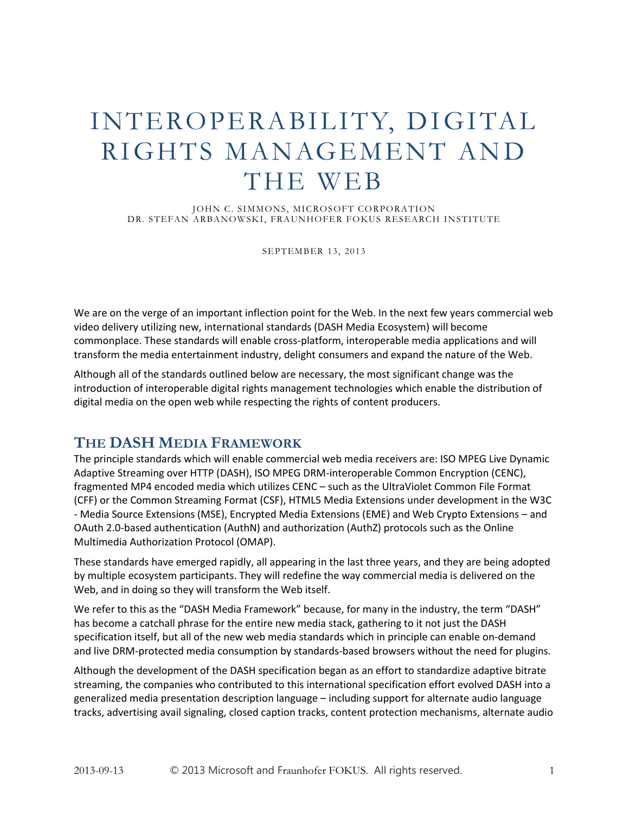# INTEROPERABILITY, DIGITAL RIGHTS MANAGEMENT AND THE WEB

JOHN C. SIMMONS, MICROSOFT CORPORATION DR. STEFAN ARBANOWSKI, FRAUNHOFER FOKUS RESEARCH INSTITUTE

SEPTEMBER 13, 2013

We are on the verge of an important inflection point for the Web. In the next few years commercial web video delivery utilizing new, international standards (DASH Media Ecosystem) will become commonplace. These standards will enable cross-platform, interoperable media applications and will transform the media entertainment industry, delight consumers and expand the nature of the Web.

Although all of the standards outlined below are necessary, the most significant change was the introduction of interoperable digital rights management technologies which enable the distribution of digital media on the open web while respecting the rights of content producers.

# **THE DASH MEDIA FRAMEWORK**

The principle standards which will enable commercial web media receivers are: ISO MPEG Live Dynamic Adaptive Streaming over HTTP (DASH), ISO MPEG DRM-interoperable Common Encryption (CENC), fragmented MP4 encoded media which utilizes CENC – such as the UltraViolet Common File Format (CFF) or the Common Streaming Format (CSF), HTML5 Media Extensions under development in the W3C - Media Source Extensions (MSE), Encrypted Media Extensions (EME) and Web Crypto Extensions – and OAuth 2.0-based authentication (AuthN) and authorization (AuthZ) protocols such as the Online Multimedia Authorization Protocol (OMAP).

These standards have emerged rapidly, all appearing in the last three years, and they are being adopted by multiple ecosystem participants. They will redefine the way commercial media is delivered on the Web, and in doing so they will transform the Web itself.

We refer to this as the "DASH Media Framework" because, for many in the industry, the term "DASH" has become a catchall phrase for the entire new media stack, gathering to it not just the DASH specification itself, but all of the new web media standards which in principle can enable on-demand and live DRM-protected media consumption by standards-based browsers without the need for plugins.

Although the development of the DASH specification began as an effort to standardize adaptive bitrate streaming, the companies who contributed to this international specification effort evolved DASH into a generalized media presentation description language – including support for alternate audio language tracks, advertising avail signaling, closed caption tracks, content protection mechanisms, alternate audio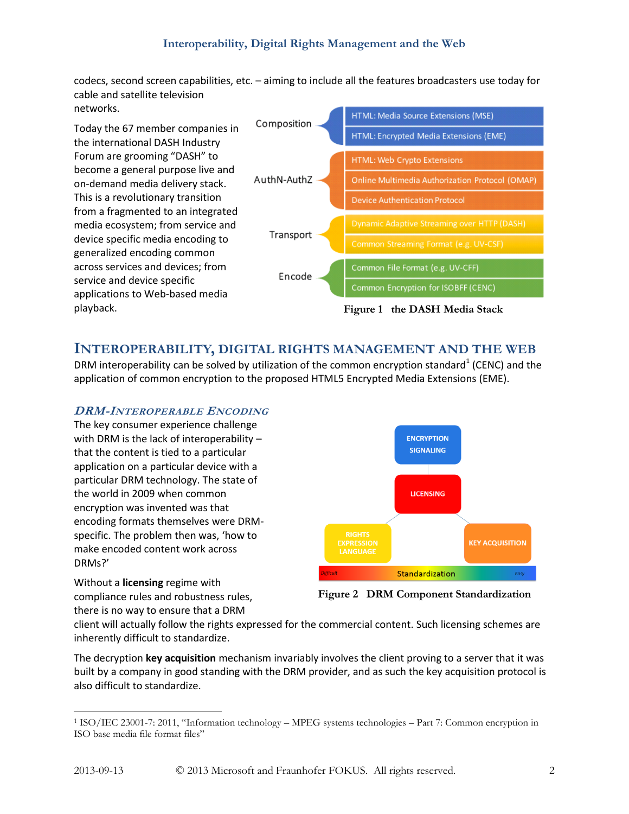## **Interoperability, Digital Rights Management and the Web**

codecs, second screen capabilities, etc. – aiming to include all the features broadcasters use today for cable and satellite television networks.

Today the 67 member companies in the international DASH Industry Forum are grooming "DASH" to become a general purpose live and on-demand media delivery stack. This is a revolutionary transition from a fragmented to an integrated media ecosystem; from service and device specific media encoding to generalized encoding common across services and devices; from service and device specific applications to Web-based media playback.



# **INTEROPERABILITY, DIGITAL RIGHTS MANAGEMENT AND THE WEB**

DRM interoperability can be solved by utilization of the common encryption standard<sup>1</sup> (CENC) and the application of common encryption to the proposed HTML5 Encrypted Media Extensions (EME).

#### **DRM-INTEROPERABLE ENCODING**

The key consumer experience challenge with DRM is the lack of interoperability – that the content is tied to a particular application on a particular device with a particular DRM technology. The state of the world in 2009 when common encryption was invented was that encoding formats themselves were DRMspecific. The problem then was, 'how to make encoded content work across DRMs?'



Without a **licensing** regime with compliance rules and robustness rules, there is no way to ensure that a DRM

**Figure 2 DRM Component Standardization**

client will actually follow the rights expressed for the commercial content. Such licensing schemes are inherently difficult to standardize.

The decryption **key acquisition** mechanism invariably involves the client proving to a server that it was built by a company in good standing with the DRM provider, and as such the key acquisition protocol is also difficult to standardize.

 $\overline{a}$ 

<sup>1</sup> ISO/IEC 23001-7: 2011, "Information technology – MPEG systems technologies – Part 7: Common encryption in ISO base media file format files"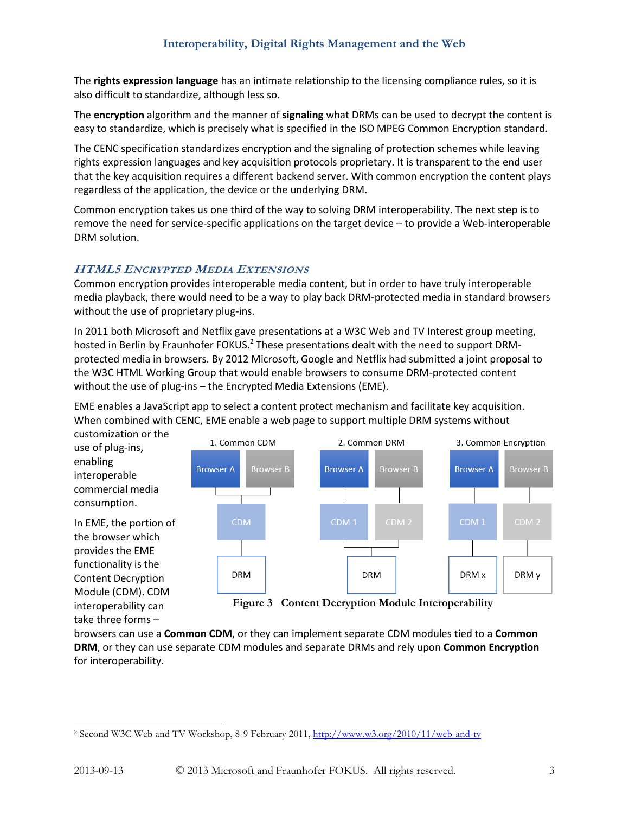The **rights expression language** has an intimate relationship to the licensing compliance rules, so it is also difficult to standardize, although less so.

The **encryption** algorithm and the manner of **signaling** what DRMs can be used to decrypt the content is easy to standardize, which is precisely what is specified in the ISO MPEG Common Encryption standard.

The CENC specification standardizes encryption and the signaling of protection schemes while leaving rights expression languages and key acquisition protocols proprietary. It is transparent to the end user that the key acquisition requires a different backend server. With common encryption the content plays regardless of the application, the device or the underlying DRM.

Common encryption takes us one third of the way to solving DRM interoperability. The next step is to remove the need for service-specific applications on the target device – to provide a Web-interoperable DRM solution.

## **HTML5 ENCRYPTED MEDIA EXTENSIONS**

Common encryption provides interoperable media content, but in order to have truly interoperable media playback, there would need to be a way to play back DRM-protected media in standard browsers without the use of proprietary plug-ins.

In 2011 both Microsoft and Netflix gave presentations at a W3C Web and TV Interest group meeting, hosted in Berlin by Fraunhofer FOKUS.<sup>2</sup> These presentations dealt with the need to support DRMprotected media in browsers. By 2012 Microsoft, Google and Netflix had submitted a joint proposal to the W3C HTML Working Group that would enable browsers to consume DRM-protected content without the use of plug-ins – the Encrypted Media Extensions (EME).

EME enables a JavaScript app to select a content protect mechanism and facilitate key acquisition. When combined with CENC, EME enable a web page to support multiple DRM systems without

customization or the use of plug-ins, enabling interoperable commercial media consumption.

In EME, the portion of the browser which provides the EME functionality is the Content Decryption Module (CDM). CDM interoperability can take three forms –



**Figure 3 Content Decryption Module Interoperability**

browsers can use a **Common CDM**, or they can implement separate CDM modules tied to a **Common DRM**, or they can use separate CDM modules and separate DRMs and rely upon **Common Encryption** for interoperability.

 $\overline{a}$ <sup>2</sup> Second W3C Web and TV Workshop, 8-9 February 2011, <http://www.w3.org/2010/11/web-and-tv>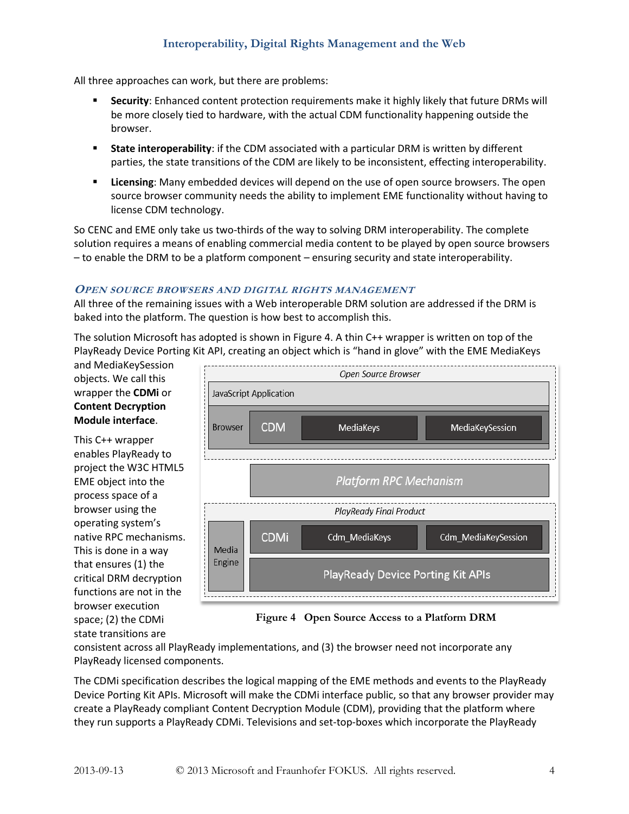# **Interoperability, Digital Rights Management and the Web**

All three approaches can work, but there are problems:

- **Security**: Enhanced content protection requirements make it highly likely that future DRMs will be more closely tied to hardware, with the actual CDM functionality happening outside the browser.
- **State interoperability**: if the CDM associated with a particular DRM is written by different parties, the state transitions of the CDM are likely to be inconsistent, effecting interoperability.
- **Licensing**: Many embedded devices will depend on the use of open source browsers. The open source browser community needs the ability to implement EME functionality without having to license CDM technology.

So CENC and EME only take us two-thirds of the way to solving DRM interoperability. The complete solution requires a means of enabling commercial media content to be played by open source browsers – to enable the DRM to be a platform component – ensuring security and state interoperability.

#### **OPEN SOURCE BROWSERS AND DIGITAL RIGHTS MANAGEMENT**

All three of the remaining issues with a Web interoperable DRM solution are addressed if the DRM is baked into the platform. The question is how best to accomplish this.

The solution Microsoft has adopted is shown in Figure 4. A thin C++ wrapper is written on top of the PlayReady Device Porting Kit API, creating an object which is "hand in glove" with the EME MediaKeys

and MediaKeySession objects. We call this wrapper the **CDMi** or **Content Decryption Module interface**.

This C++ wrapper enables PlayReady to project the W3C HTML5 EME object into the process space of a browser using the operating system's native RPC mechanisms. This is done in a way that ensures (1) the critical DRM decryption functions are not in the browser execution space; (2) the CDMi state transitions are



**Figure 4 Open Source Access to a Platform DRM**

consistent across all PlayReady implementations, and (3) the browser need not incorporate any PlayReady licensed components.

The CDMi specification describes the logical mapping of the EME methods and events to the PlayReady Device Porting Kit APIs. Microsoft will make the CDMi interface public, so that any browser provider may create a PlayReady compliant Content Decryption Module (CDM), providing that the platform where they run supports a PlayReady CDMi. Televisions and set-top-boxes which incorporate the PlayReady